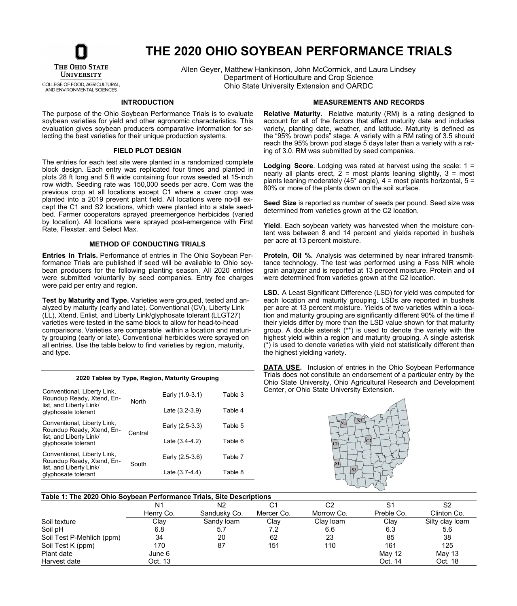

# **THE 2020 OHIO SOYBEAN PERFORMANCE TRIALS**

COLLEGE OF FOOD, AGRICULTURAL, AND ENVIRONMENTAL SCIENCES

Allen Geyer, Matthew Hankinson, John McCormick, and Laura Lindsey Department of Horticulture and Crop Science Ohio State University Extension and OARDC

#### **INTRODUCTION**

The purpose of the Ohio Soybean Performance Trials is to evaluate soybean varieties for yield and other agronomic characteristics. This evaluation gives soybean producers comparative information for selecting the best varieties for their unique production systems.

#### **FIELD PLOT DESIGN**

The entries for each test site were planted in a randomized complete block design. Each entry was replicated four times and planted in plots 28 ft long and 5 ft wide containing four rows seeded at 15-inch row width. Seeding rate was 150,000 seeds per acre. Corn was the previous crop at all locations except C1 where a cover crop was planted into a 2019 prevent plant field. All locations were no-till except the C1 and S2 locations, which were planted into a stale seedbed. Farmer cooperators sprayed preemergence herbicides (varied by location). All locations were sprayed post-emergence with First Rate, Flexstar, and Select Max.

#### **METHOD OF CONDUCTING TRIALS**

**Entries in Trials.** Performance of entries in The Ohio Soybean Performance Trials are published if seed will be available to Ohio soybean producers for the following planting season. All 2020 entries were submitted voluntarily by seed companies. Entry fee charges were paid per entry and region.

**Test by Maturity and Type.** Varieties were grouped, tested and analyzed by maturity (early and late). Conventional (CV), Liberty Link (LL), Xtend, Enlist, and Liberty Link/glyphosate tolerant (LLGT27) varieties were tested in the same block to allow for head-to-head comparisons. Varieties are comparable within a location and maturity grouping (early or late). Conventional herbicides were sprayed on all entries. Use the table below to find varieties by region, maturity, and type.

| 2020 Tables by Type, Region, Maturity Grouping                                      |              |                  |         |  |  |  |  |  |  |  |
|-------------------------------------------------------------------------------------|--------------|------------------|---------|--|--|--|--|--|--|--|
| Conventional, Liberty Link,<br>Roundup Ready, Xtend, En-<br>list, and Liberty Link/ | <b>North</b> | Early (1.9-3.1)  | Table 3 |  |  |  |  |  |  |  |
| glyphosate tolerant                                                                 |              | Late $(3.2-3.9)$ | Table 4 |  |  |  |  |  |  |  |
| Conventional, Liberty Link,<br>Roundup Ready, Xtend, En-                            | Central      | Early (2.5-3.3)  | Table 5 |  |  |  |  |  |  |  |
| list, and Liberty Link/<br>glyphosate tolerant                                      |              | Late $(3.4-4.2)$ | Table 6 |  |  |  |  |  |  |  |
| Conventional, Liberty Link,<br>Roundup Ready, Xtend, En-                            | South        | Early (2.5-3.6)  | Table 7 |  |  |  |  |  |  |  |
| list, and Liberty Link/<br>glyphosate tolerant                                      |              | Late $(3.7-4.4)$ | Table 8 |  |  |  |  |  |  |  |

#### **MEASUREMENTS AND RECORDS**

**Relative Maturity.** Relative maturity (RM) is a rating designed to account for all of the factors that affect maturity date and includes variety, planting date, weather, and latitude. Maturity is defined as the "95% brown pods" stage. A variety with a RM rating of 3.5 should reach the 95% brown pod stage 5 days later than a variety with a rating of 3.0. RM was submitted by seed companies.

**Lodging Score**. Lodging was rated at harvest using the scale: 1 = nearly all plants erect,  $\overline{2}$  = most plants leaning slightly,  $3$  = most plants leaning moderately (45 $^{\circ}$  angle), 4 = most plants horizontal, 5 = 80% or more of the plants down on the soil surface.

**Seed Size** is reported as number of seeds per pound. Seed size was determined from varieties grown at the C2 location.

**Yield**. Each soybean variety was harvested when the moisture content was between 8 and 14 percent and yields reported in bushels per acre at 13 percent moisture.

**Protein, Oil %.** Analysis was determined by near infrared transmittance technology. The test was performed using a Foss NIR whole grain analyzer and is reported at 13 percent moisture. Protein and oil were determined from varieties grown at the C2 location.

**LSD.** A Least Significant Difference (LSD) for yield was computed for each location and maturity grouping. LSDs are reported in bushels per acre at 13 percent moisture. Yields of two varieties within a location and maturity grouping are significantly different 90% of the time if their yields differ by more than the LSD value shown for that maturity group. A double asterisk (\*\*) is used to denote the variety with the highest yield within a region and maturity grouping. A single asterisk (\*) is used to denote varieties with yield not statistically different than the highest yielding variety.

**DATA USE.** Inclusion of entries in the Ohio Soybean Performance Trials does not constitute an endorsement of a particular entry by the Ohio State University, Ohio Agricultural Research and Development Center, or Ohio State University Extension.



#### **Table 1: The 2020 Ohio Soybean Performance Trials, Site Descriptions**

|                           | N1        | N <sub>2</sub> | C1         | C2         | S1            | S2              |
|---------------------------|-----------|----------------|------------|------------|---------------|-----------------|
|                           | Henry Co. | Sandusky Co.   | Mercer Co. | Morrow Co. | Preble Co.    | Clinton Co.     |
| Soil texture              | Clay      | Sandy loam     | Clay       | Clay loam  | Clay          | Silty clay loam |
| Soil pH                   | 6.8       | 5.1            | 7.2        | 6.6        | 6.3           | 5.6             |
| Soil Test P-Mehlich (ppm) | 34        | 20             | 62         | 23         | 85            | 38              |
| Soil Test K (ppm)         | 170       | 87             | 151        | 110        | 161           | 125             |
| Plant date                | June 6    |                |            |            | <b>May 12</b> | May 13          |
| Harvest date              | Oct. 13   |                |            |            | Oct. 14       | Oct. 18         |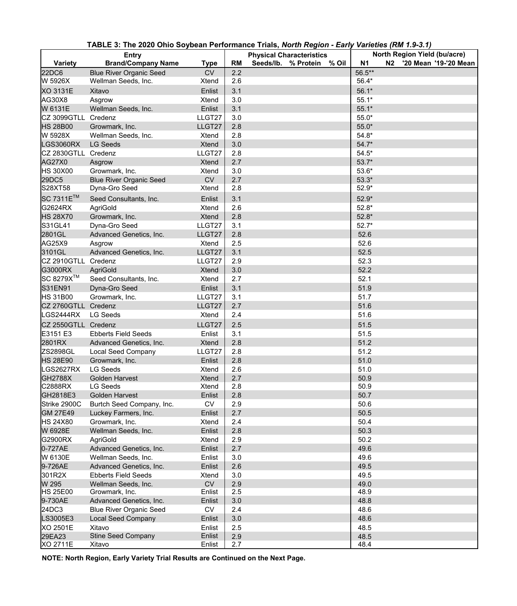| <b>Entry</b>          |                                                       |                        |           | North Region Yield (bu/acre)                                 |                |  |                          |
|-----------------------|-------------------------------------------------------|------------------------|-----------|--------------------------------------------------------------|----------------|--|--------------------------|
| <b>Variety</b>        | <b>Brand/Company Name</b>                             | <b>Type</b>            | <b>RM</b> | <b>Physical Characteristics</b><br>Seeds/lb. % Protein % Oil | N <sub>1</sub> |  | N2 '20 Mean '19-'20 Mean |
| 22DC6                 | <b>Blue River Organic Seed</b>                        | <b>CV</b>              | 2.2       |                                                              | 56.5**         |  |                          |
| W 5926X               | Wellman Seeds, Inc.                                   | Xtend                  | 2.6       |                                                              | 56.4*          |  |                          |
| <b>XO 3131E</b>       | Xitavo                                                | Enlist                 | 3.1       |                                                              | $56.1*$        |  |                          |
| AG30X8                | Asgrow                                                | Xtend                  | 3.0       |                                                              | $55.1*$        |  |                          |
| W 6131E               | Wellman Seeds, Inc.                                   | Enlist                 | 3.1       |                                                              | $55.1*$        |  |                          |
| CZ 3099GTLL Credenz   |                                                       | LLGT27                 | 3.0       |                                                              | $55.0*$        |  |                          |
| <b>HS 28B00</b>       | Growmark, Inc.                                        | LLGT27                 | 2.8       |                                                              | $55.0*$        |  |                          |
| W 5928X               | Wellman Seeds, Inc.                                   | Xtend                  | 2.8       |                                                              | $54.8*$        |  |                          |
| <b>LGS3060RX</b>      | <b>LG Seeds</b>                                       | <b>Xtend</b>           | 3.0       |                                                              | $54.7*$        |  |                          |
| CZ 2830GTLL Credenz   |                                                       | LLGT27                 | 2.8       |                                                              | $54.5*$        |  |                          |
| <b>AG27X0</b>         | Asgrow                                                | <b>Xtend</b>           | 2.7       |                                                              | $53.7*$        |  |                          |
| <b>HS 30X00</b>       | Growmark, Inc.                                        | <b>Xtend</b>           | 3.0       |                                                              | $53.6*$        |  |                          |
| 29DC5                 | <b>Blue River Organic Seed</b>                        | <b>CV</b>              | 2.7       |                                                              | $53.3*$        |  |                          |
| <b>S28XT58</b>        | Dyna-Gro Seed                                         | Xtend                  | 2.8       |                                                              | $52.9*$        |  |                          |
| SC 7311E <sup>™</sup> | Seed Consultants, Inc.                                | Enlist                 | 3.1       |                                                              | $52.9*$        |  |                          |
| G2624RX               | AgriGold                                              | <b>Xtend</b>           | 2.6       |                                                              | $52.8*$        |  |                          |
| <b>HS 28X70</b>       | Growmark, Inc.                                        | <b>Xtend</b>           | 2.8       |                                                              | $52.8*$        |  |                          |
| S31GL41               | Dyna-Gro Seed                                         | LLGT27                 | 3.1       |                                                              | $52.7*$        |  |                          |
| 2801GL                | Advanced Genetics, Inc.                               | LLGT27                 | 2.8       |                                                              | 52.6           |  |                          |
| AG25X9                | Asgrow                                                | Xtend                  | 2.5       |                                                              | 52.6           |  |                          |
| 3101GL                | Advanced Genetics, Inc.                               | LLGT27                 | 3.1       |                                                              | 52.5           |  |                          |
| CZ 2910GTLL Credenz   |                                                       | LLGT27                 | 2.9       |                                                              | 52.3           |  |                          |
| G3000RX               | <b>AgriGold</b>                                       | <b>Xtend</b>           | 3.0       |                                                              | 52.2           |  |                          |
| SC 8279X™             | Seed Consultants, Inc.                                | <b>Xtend</b>           | 2.7       |                                                              | 52.1           |  |                          |
| S31EN91               | Dyna-Gro Seed                                         | Enlist                 | 3.1       |                                                              | 51.9           |  |                          |
| <b>HS 31B00</b>       | Growmark, Inc.                                        | LLGT27                 | 3.1       |                                                              | 51.7           |  |                          |
| CZ 2760GTLL Credenz   |                                                       | LLGT27                 | 2.7       |                                                              | 51.6           |  |                          |
| LGS2444RX             | <b>LG Seeds</b>                                       | Xtend                  | 2.4       |                                                              | 51.6           |  |                          |
| CZ 2550GTLL Credenz   |                                                       | LLGT27                 | 2.5       |                                                              | 51.5           |  |                          |
| E3151 E3              |                                                       |                        | 3.1       |                                                              |                |  |                          |
| 2801RX                | <b>Ebberts Field Seeds</b><br>Advanced Genetics, Inc. | Enlist<br><b>Xtend</b> | 2.8       |                                                              | 51.5<br>51.2   |  |                          |
| <b>ZS2898GL</b>       | <b>Local Seed Company</b>                             | LLGT27                 | 2.8       |                                                              | 51.2           |  |                          |
| <b>HS 28E90</b>       | Growmark, Inc.                                        | Enlist                 | 2.8       |                                                              | 51.0           |  |                          |
| LGS2627RX             | <b>LG Seeds</b>                                       | Xtend                  | 2.6       |                                                              | 51.0           |  |                          |
| <b>GH2788X</b>        | <b>Golden Harvest</b>                                 | <b>Xtend</b>           | 2.7       |                                                              | 50.9           |  |                          |
| C2888RX               | <b>LG Seeds</b>                                       | <b>Xtend</b>           | 2.8       |                                                              | 50.9           |  |                          |
| GH2818E3              | <b>Golden Harvest</b>                                 | Enlist                 | 2.8       |                                                              | 50.7           |  |                          |
| Strike 2900C          | Burtch Seed Company, Inc.                             | <b>CV</b>              | 2.9       |                                                              | 50.6           |  |                          |
| <b>GM 27E49</b>       | Luckey Farmers, Inc.                                  | Enlist                 | 2.7       |                                                              | 50.5           |  |                          |
| <b>HS 24X80</b>       | Growmark, Inc.                                        | Xtend                  | 2.4       |                                                              | 50.4           |  |                          |
| W 6928E               | Wellman Seeds, Inc.                                   | Enlist                 | 2.8       |                                                              | 50.3           |  |                          |
| G2900RX               | <b>AgriGold</b>                                       | Xtend                  | 2.9       |                                                              | 50.2           |  |                          |
| 0-727AE               | Advanced Genetics, Inc.                               | Enlist                 | 2.7       |                                                              | 49.6           |  |                          |
| W 6130E               | Wellman Seeds, Inc.                                   | Enlist                 | 3.0       |                                                              | 49.6           |  |                          |
| 9-726AE               | Advanced Genetics, Inc.                               | Enlist                 | 2.6       |                                                              | 49.5           |  |                          |
| 301R2X                | <b>Ebberts Field Seeds</b>                            | Xtend                  | 3.0       |                                                              | 49.5           |  |                          |
| W 295                 | Wellman Seeds, Inc.                                   | <b>CV</b>              | 2.9       |                                                              | 49.0           |  |                          |
| <b>HS 25E00</b>       | Growmark, Inc.                                        | Enlist                 | 2.5       |                                                              | 48.9           |  |                          |
| 9-730AE               | Advanced Genetics, Inc.                               | Enlist                 | 3.0       |                                                              | 48.8           |  |                          |
| 24DC3                 | <b>Blue River Organic Seed</b>                        | <b>CV</b>              | 2.4       |                                                              | 48.6           |  |                          |
| LS3005E3              | <b>Local Seed Company</b>                             | Enlist                 | 3.0       |                                                              | 48.6           |  |                          |
| XO 2501E              | Xitavo                                                | Enlist                 | 2.5       |                                                              | 48.5           |  |                          |
| 29EA23                | <b>Stine Seed Company</b>                             | Enlist                 | 2.9       |                                                              | 48.5           |  |                          |
| XO 2711E              | Xitavo                                                | Enlist                 | 2.7       |                                                              | 48.4           |  |                          |

**TABLE 3: The 2020 Ohio Soybean Performance Trials,** *North Region - Early Varieties (RM 1.9-3.1)*

**NOTE: North Region, Early Variety Trial Results are Continued on the Next Page.**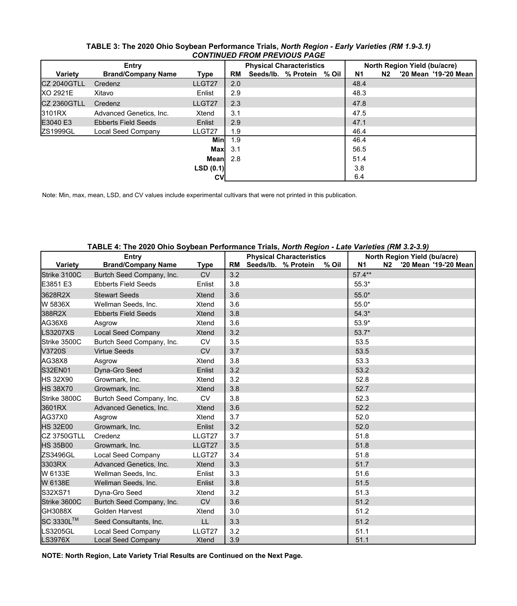|                    | CONTINUED FROM PREVIOUS PAGE |             |           |                                 |                           |  |           |                              |  |                       |  |
|--------------------|------------------------------|-------------|-----------|---------------------------------|---------------------------|--|-----------|------------------------------|--|-----------------------|--|
| Entry              |                              |             |           | <b>Physical Characteristics</b> |                           |  |           | North Region Yield (bu/acre) |  |                       |  |
| <b>Variety</b>     | <b>Brand/Company Name</b>    | <b>Type</b> | <b>RM</b> |                                 | Seeds/lb. % Protein % Oil |  | <b>N1</b> | N <sub>2</sub>               |  | '20 Mean '19-'20 Mean |  |
| <b>CZ 2040GTLL</b> | Credenz                      | LLGT27      | 2.0       |                                 |                           |  | 48.4      |                              |  |                       |  |
| <b>XO 2921E</b>    | Xitavo                       | Enlist      | 2.9       |                                 |                           |  | 48.3      |                              |  |                       |  |
| <b>CZ 2360GTLL</b> | Credenz                      | LLGT27      | 2.3       |                                 |                           |  | 47.8      |                              |  |                       |  |
| 3101RX             | Advanced Genetics, Inc.      | Xtend       | 3.1       |                                 |                           |  | 47.5      |                              |  |                       |  |
| E3040 E3           | <b>Ebberts Field Seeds</b>   | Enlist      | 2.9       |                                 |                           |  | 47.1      |                              |  |                       |  |
| ZS1999GL           | <b>Local Seed Company</b>    | LLGT27      | 1.9       |                                 |                           |  | 46.4      |                              |  |                       |  |
|                    |                              | <b>Min</b>  | 1.9       |                                 |                           |  | 46.4      |                              |  |                       |  |
|                    |                              | <b>Max</b>  | 3.1       |                                 |                           |  | 56.5      |                              |  |                       |  |
|                    |                              | <b>Mean</b> | 2.8       |                                 |                           |  | 51.4      |                              |  |                       |  |
|                    |                              | LSD(0.1)    |           |                                 |                           |  | 3.8       |                              |  |                       |  |
|                    |                              | <b>CV</b>   |           |                                 |                           |  | 6.4       |                              |  |                       |  |

## **TABLE 3: The 2020 Ohio Soybean Performance Trials,** *North Region - Early Varieties (RM 1.9-3.1) CONTINUED FROM PREVIOUS PAGE*

Note: Min, max, mean, LSD, and CV values include experimental cultivars that were not printed in this publication.

|                 | TABLE 4: The 2020 Onio Soybean Performance Trials, <i>North Region - Late Varieties (RM 3.2-3.9)</i><br><b>Entry</b> |              |           | <b>Physical Characteristics</b> | North Region Yield (bu/acre) |    |  |                       |
|-----------------|----------------------------------------------------------------------------------------------------------------------|--------------|-----------|---------------------------------|------------------------------|----|--|-----------------------|
| <b>Variety</b>  | <b>Brand/Company Name</b>                                                                                            | <b>Type</b>  | <b>RM</b> | Seeds/lb. % Protein<br>% Oil    | <b>N1</b>                    | N2 |  | '20 Mean '19-'20 Mean |
| Strike 3100C    | Burtch Seed Company, Inc.                                                                                            | <b>CV</b>    | 3.2       |                                 | $57.4***$                    |    |  |                       |
| E3851 E3        | <b>Ebberts Field Seeds</b>                                                                                           | Enlist       | 3.8       |                                 | $55.3*$                      |    |  |                       |
| 3628R2X         | <b>Stewart Seeds</b>                                                                                                 | <b>Xtend</b> | 3.6       |                                 | $55.0*$                      |    |  |                       |
| W 5836X         | Wellman Seeds, Inc.                                                                                                  | <b>Xtend</b> | 3.6       |                                 | $55.0*$                      |    |  |                       |
| 388R2X          | <b>Ebberts Field Seeds</b>                                                                                           | <b>Xtend</b> | 3.8       |                                 | $54.3*$                      |    |  |                       |
| AG36X6          | Asgrow                                                                                                               | Xtend        | 3.6       |                                 | $53.9*$                      |    |  |                       |
| <b>LS3207XS</b> | <b>Local Seed Company</b>                                                                                            | <b>Xtend</b> | 3.2       |                                 | $53.7*$                      |    |  |                       |
| Strike 3500C    | Burtch Seed Company, Inc.                                                                                            | <b>CV</b>    | 3.5       |                                 | 53.5                         |    |  |                       |
| V3720S          | <b>Virtue Seeds</b>                                                                                                  | <b>CV</b>    | 3.7       |                                 | 53.5                         |    |  |                       |
| AG38X8          | Asgrow                                                                                                               | <b>Xtend</b> | 3.8       |                                 | 53.3                         |    |  |                       |
| S32EN01         | Dyna-Gro Seed                                                                                                        | Enlist       | 3.2       |                                 | 53.2                         |    |  |                       |
| <b>HS 32X90</b> | Growmark, Inc.                                                                                                       | <b>Xtend</b> | 3.2       |                                 | 52.8                         |    |  |                       |
| <b>HS 38X70</b> | Growmark, Inc.                                                                                                       | <b>Xtend</b> | 3.8       |                                 | 52.7                         |    |  |                       |
| Strike 3800C    | Burtch Seed Company, Inc.                                                                                            | <b>CV</b>    | 3.8       |                                 | 52.3                         |    |  |                       |
| 3601RX          | Advanced Genetics, Inc.                                                                                              | <b>Xtend</b> | 3.6       |                                 | 52.2                         |    |  |                       |
| AG37X0          | Asgrow                                                                                                               | <b>Xtend</b> | 3.7       |                                 | 52.0                         |    |  |                       |
| <b>HS 32E00</b> | Growmark, Inc.                                                                                                       | Enlist       | 3.2       |                                 | 52.0                         |    |  |                       |
| CZ 3750GTLL     | Credenz                                                                                                              | LLGT27       | 3.7       |                                 | 51.8                         |    |  |                       |
| <b>HS 35B00</b> | Growmark, Inc.                                                                                                       | LLGT27       | 3.5       |                                 | 51.8                         |    |  |                       |
| <b>ZS3496GL</b> | <b>Local Seed Company</b>                                                                                            | LLGT27       | 3.4       |                                 | 51.8                         |    |  |                       |
| 3303RX          | Advanced Genetics, Inc.                                                                                              | <b>Xtend</b> | 3.3       |                                 | 51.7                         |    |  |                       |
| W 6133E         | Wellman Seeds, Inc.                                                                                                  | Enlist       | 3.3       |                                 | 51.6                         |    |  |                       |
| W 6138E         | Wellman Seeds, Inc.                                                                                                  | Enlist       | 3.8       |                                 | 51.5                         |    |  |                       |
| S32XS71         | Dyna-Gro Seed                                                                                                        | <b>Xtend</b> | 3.2       |                                 | 51.3                         |    |  |                       |
| Strike 3600C    | Burtch Seed Company, Inc.                                                                                            | <b>CV</b>    | 3.6       |                                 | 51.2                         |    |  |                       |
| GH3088X         | <b>Golden Harvest</b>                                                                                                | <b>Xtend</b> | 3.0       |                                 | 51.2                         |    |  |                       |
| SC 3330L™       | Seed Consultants, Inc.                                                                                               | LL.          | 3.3       |                                 | 51.2                         |    |  |                       |
| <b>LS3205GL</b> | <b>Local Seed Company</b>                                                                                            | LLGT27       | 3.2       |                                 | 51.1                         |    |  |                       |
| <b>LS3976X</b>  | <b>Local Seed Company</b>                                                                                            | <b>Xtend</b> | 3.9       |                                 | 51.1                         |    |  |                       |

## **TABLE 4: The 2020 Ohio Soybean Performance Trials,** *North Region - Late Varieties (RM 3.2-3.9)*

**NOTE: North Region, Late Variety Trial Results are Continued on the Next Page.**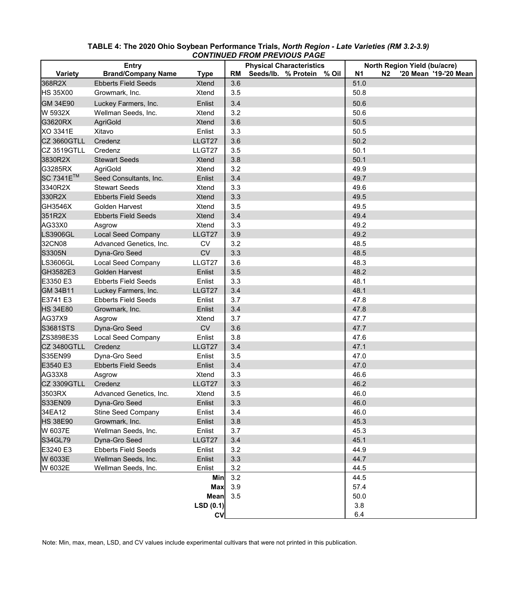| <b>Entry</b>          |                            |              | <b>Physical Characteristics</b> |                                 |           | North Region Yield (bu/acre) |  |  |  |
|-----------------------|----------------------------|--------------|---------------------------------|---------------------------------|-----------|------------------------------|--|--|--|
| <b>Variety</b>        | <b>Brand/Company Name</b>  | <b>Type</b>  | <b>RM</b>                       | Seeds/lb.<br>% Protein<br>% Oil | <b>N1</b> | N2<br>'20 Mean '19-'20 Mean  |  |  |  |
| 368R2X                | <b>Ebberts Field Seeds</b> | <b>Xtend</b> | 3.6                             |                                 | 51.0      |                              |  |  |  |
| <b>HS 35X00</b>       | Growmark, Inc.             | <b>Xtend</b> | 3.5                             |                                 | 50.8      |                              |  |  |  |
| <b>GM 34E90</b>       | Luckey Farmers, Inc.       | Enlist       | 3.4                             |                                 | 50.6      |                              |  |  |  |
| W 5932X               | Wellman Seeds, Inc.        | <b>Xtend</b> | 3.2                             |                                 | 50.6      |                              |  |  |  |
| G3620RX               | <b>AgriGold</b>            | <b>Xtend</b> | 3.6                             |                                 | 50.5      |                              |  |  |  |
| <b>XO 3341E</b>       | Xitavo                     | Enlist       | 3.3                             |                                 | 50.5      |                              |  |  |  |
| CZ 3660GTLL           | Credenz                    | LLGT27       | 3.6                             |                                 | 50.2      |                              |  |  |  |
| CZ 3519GTLL           | Credenz                    | LLGT27       | 3.5                             |                                 | 50.1      |                              |  |  |  |
| 3830R2X               | <b>Stewart Seeds</b>       | <b>Xtend</b> | 3.8                             |                                 | 50.1      |                              |  |  |  |
| G3285RX               | <b>AgriGold</b>            | <b>Xtend</b> | 3.2                             |                                 | 49.9      |                              |  |  |  |
| SC 7341E <sup>™</sup> | Seed Consultants, Inc.     | Enlist       | 3.4                             |                                 | 49.7      |                              |  |  |  |
| 3340R2X               | <b>Stewart Seeds</b>       | <b>Xtend</b> | 3.3                             |                                 | 49.6      |                              |  |  |  |
| 330R2X                | <b>Ebberts Field Seeds</b> | <b>Xtend</b> | 3.3                             |                                 | 49.5      |                              |  |  |  |
| GH3546X               | Golden Harvest             | <b>Xtend</b> | 3.5                             |                                 | 49.5      |                              |  |  |  |
| 351R2X                | <b>Ebberts Field Seeds</b> | <b>Xtend</b> | 3.4                             |                                 | 49.4      |                              |  |  |  |
| AG33X0                | Asgrow                     | <b>Xtend</b> | 3.3                             |                                 | 49.2      |                              |  |  |  |
| LS3906GL              | <b>Local Seed Company</b>  | LLGT27       | 3.9                             |                                 | 49.2      |                              |  |  |  |
| 32CN08                | Advanced Genetics, Inc.    | <b>CV</b>    | 3.2                             |                                 | 48.5      |                              |  |  |  |
| S3305N                | Dyna-Gro Seed              | <b>CV</b>    | 3.3                             |                                 | 48.5      |                              |  |  |  |
| LS3606GL              | <b>Local Seed Company</b>  | LLGT27       | 3.6                             |                                 | 48.3      |                              |  |  |  |
| GH3582E3              | <b>Golden Harvest</b>      | Enlist       | 3.5                             |                                 | 48.2      |                              |  |  |  |
| E3350 E3              | <b>Ebberts Field Seeds</b> | Enlist       | 3.3                             |                                 | 48.1      |                              |  |  |  |
| <b>GM 34B11</b>       | Luckey Farmers, Inc.       | LLGT27       | 3.4                             |                                 | 48.1      |                              |  |  |  |
| E3741 E3              | <b>Ebberts Field Seeds</b> | Enlist       | 3.7                             |                                 | 47.8      |                              |  |  |  |
| <b>HS 34E80</b>       | Growmark, Inc.             | Enlist       | 3.4                             |                                 | 47.8      |                              |  |  |  |
| <b>AG37X9</b>         | Asgrow                     | <b>Xtend</b> | 3.7                             |                                 | 47.7      |                              |  |  |  |
| S3681STS              | Dyna-Gro Seed              | <b>CV</b>    | 3.6                             |                                 | 47.7      |                              |  |  |  |
| ZS3898E3S             | <b>Local Seed Company</b>  | Enlist       | 3.8                             |                                 | 47.6      |                              |  |  |  |
| <b>CZ 3480GTLL</b>    | Credenz                    | LLGT27       | 3.4                             |                                 | 47.1      |                              |  |  |  |
| S35EN99               | Dyna-Gro Seed              | Enlist       | 3.5                             |                                 | 47.0      |                              |  |  |  |
| E3540 E3              | <b>Ebberts Field Seeds</b> | Enlist       | 3.4                             |                                 | 47.0      |                              |  |  |  |
| AG33X8                | Asgrow                     | <b>Xtend</b> | 3.3                             |                                 | 46.6      |                              |  |  |  |
| <b>CZ 3309GTLL</b>    | Credenz                    | LLGT27       | 3.3                             |                                 | 46.2      |                              |  |  |  |
| 3503RX                | Advanced Genetics, Inc.    | <b>Xtend</b> | 3.5                             |                                 | 46.0      |                              |  |  |  |
| <b>S33EN09</b>        | Dyna-Gro Seed              | Enlist       | 3.3                             |                                 | 46.0      |                              |  |  |  |
| 34EA12                | <b>Stine Seed Company</b>  | Enlist       | 3.4                             |                                 | 46.0      |                              |  |  |  |
| <b>HS 38E90</b>       | Growmark, Inc.             | Enlist       | 3.8                             |                                 | 45.3      |                              |  |  |  |
| W 6037E               | Wellman Seeds, Inc.        | Enlist       | 3.7                             |                                 | 45.3      |                              |  |  |  |
| S34GL79               | Dyna-Gro Seed              | LLGT27       | 3.4                             |                                 | 45.1      |                              |  |  |  |
| E3240 E3              | <b>Ebberts Field Seeds</b> | Enlist       | 3.2                             |                                 | 44.9      |                              |  |  |  |
| W 6033E               | Wellman Seeds, Inc.        | Enlist       | 3.3                             |                                 | 44.7      |                              |  |  |  |
| W 6032E               | Wellman Seeds, Inc.        | Enlist       | 3.2                             |                                 | 44.5      |                              |  |  |  |
|                       |                            | <b>Min</b>   | 3.2                             |                                 | 44.5      |                              |  |  |  |
|                       |                            | <b>Max</b>   | 3.9                             |                                 | 57.4      |                              |  |  |  |
|                       |                            | <b>Mean</b>  | 3.5                             |                                 | 50.0      |                              |  |  |  |
|                       |                            | LSD(0.1)     |                                 |                                 | 3.8       |                              |  |  |  |
|                       |                            | <b>CV</b>    |                                 |                                 | 6.4       |                              |  |  |  |

## **TABLE 4: The 2020 Ohio Soybean Performance Trials,** *North Region - Late Varieties (RM 3.2-3.9) CONTINUED FROM PREVIOUS PAGE*

Note: Min, max, mean, LSD, and CV values include experimental cultivars that were not printed in this publication.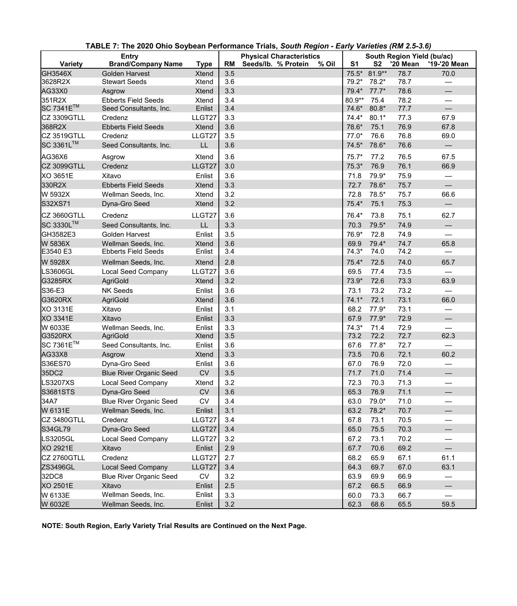| <b>Entry</b>          |                                       |                        | <b>Physical Characteristics</b> |                              |                  | South Region Yield (bu/ac) |                 |                                 |  |
|-----------------------|---------------------------------------|------------------------|---------------------------------|------------------------------|------------------|----------------------------|-----------------|---------------------------------|--|
| <b>Variety</b>        | <b>Brand/Company Name</b>             | <b>Type</b>            | <b>RM</b>                       | Seeds/lb. % Protein<br>% Oil | S <sub>1</sub>   | S <sub>2</sub>             | <b>'20 Mean</b> | '19-'20 Mean                    |  |
| <b>GH3546X</b>        | <b>Golden Harvest</b>                 | <b>Xtend</b>           | 3.5                             |                              | $75.5*$          | 81.9**                     | 78.7            | 70.0                            |  |
| 3628R2X               | <b>Stewart Seeds</b>                  | <b>Xtend</b>           | 3.6                             |                              | 79.2*            | $78.2*$                    | 78.7            |                                 |  |
| AG33X0                | Asgrow                                | <b>Xtend</b>           | 3.3                             |                              | 79.4*            | $77.7*$                    | 78.6            |                                 |  |
| 351R2X                | <b>Ebberts Field Seeds</b>            | <b>Xtend</b>           | 3.4                             |                              | 80.9**           | 75.4                       | 78.2            |                                 |  |
| SC 7341E <sup>™</sup> | Seed Consultants, Inc.                | Enlist                 | 3.4                             |                              | 74.6*            | $80.8*$                    | 77.7            | $\qquad \qquad$                 |  |
| CZ 3309GTLL           | Credenz                               | LLGT27                 | 3.3                             |                              | $74.4*$          | $80.1*$                    | 77.3            | 67.9                            |  |
| 368R2X<br>CZ 3519GTLL | <b>Ebberts Field Seeds</b><br>Credenz | <b>Xtend</b><br>LLGT27 | 3.6<br>3.5                      |                              | 78.6*<br>$77.0*$ | 75.1<br>76.6               | 76.9<br>76.8    | 67.8<br>69.0                    |  |
| SC 3361L™             | Seed Consultants, Inc.                | LL                     | 3.6                             |                              | $74.5*$          | 78.6*                      | 76.6            |                                 |  |
|                       |                                       |                        |                                 |                              |                  |                            |                 | $\qquad \qquad -$               |  |
| AG36X6                | Asgrow                                | <b>Xtend</b>           | 3.6                             |                              | $75.7*$          | 77.2                       | 76.5            | 67.5                            |  |
| <b>CZ 3099GTLL</b>    | Credenz                               | LLGT27                 | 3.0                             |                              | $75.3*$          | 76.9                       | 76.1            | 66.9                            |  |
| <b>XO 3651E</b>       | Xitavo                                | Enlist                 | 3.6                             |                              | 71.8             | 79.9*                      | 75.9            |                                 |  |
| 330R2X                | <b>Ebberts Field Seeds</b>            | <b>Xtend</b>           | 3.3                             |                              | 72.7             | 78.6*                      | 75.7            | $\qquad \qquad$                 |  |
| W 5932X               | Wellman Seeds, Inc.                   | <b>Xtend</b>           | 3.2                             |                              | 72.8             | 78.5*                      | 75.7            | 66.6                            |  |
| S32XS71               | Dyna-Gro Seed                         | <b>Xtend</b>           | 3.2                             |                              | $75.4*$          | 75.1                       | 75.3            |                                 |  |
| CZ 3660GTLL           | Credenz                               | LLGT27                 | 3.6                             |                              | 76.4*            | 73.8                       | 75.1            | 62.7                            |  |
| SC 3330L™             | Seed Consultants, Inc.                | LL                     | 3.3                             |                              | 70.3             | 79.5*                      | 74.9            |                                 |  |
| GH3582E3              | <b>Golden Harvest</b>                 | Enlist                 | 3.5                             |                              | 76.9*            | 72.8                       | 74.9            |                                 |  |
| W 5836X               | Wellman Seeds, Inc.                   | <b>Xtend</b>           | 3.6                             |                              | 69.9             | $79.4*$                    | 74.7            | 65.8                            |  |
| E3540 E3              | <b>Ebberts Field Seeds</b>            | Enlist                 | 3.4                             |                              | $74.3*$          | 74.0                       | 74.2            | $\overbrace{\phantom{13333}}$   |  |
| W 5928X               | Wellman Seeds, Inc.                   | <b>Xtend</b>           | 2.8                             |                              | $75.4*$          | 72.5                       | 74.0            | 65.7                            |  |
| <b>LS3606GL</b>       | <b>Local Seed Company</b>             | LLGT27                 | 3.6                             |                              | 69.5             | 77.4                       | 73.5            |                                 |  |
| G3285RX               | <b>AgriGold</b>                       | <b>Xtend</b>           | 3.2                             |                              | 73.9*            | 72.6                       | 73.3            | 63.9                            |  |
| S36-E3                | <b>NK Seeds</b>                       | Enlist                 | 3.6                             |                              | 73.1             | 73.2                       | 73.2            | $\hspace{0.1mm}-\hspace{0.1mm}$ |  |
| G3620RX               | <b>AgriGold</b>                       | <b>Xtend</b>           | 3.6                             |                              | $74.1*$          | 72.1                       | 73.1            | 66.0                            |  |
| <b>XO 3131E</b>       | Xitavo                                | Enlist                 | 3.1                             |                              | 68.2             | $77.9*$                    | 73.1            |                                 |  |
| <b>XO 3341E</b>       | Xitavo                                | Enlist                 | 3.3                             |                              | 67.9             | $77.9*$                    | 72.9            |                                 |  |
| W 6033E               | Wellman Seeds, Inc.                   | Enlist                 | 3.3                             |                              | $74.3*$          | 71.4                       | 72.9            |                                 |  |
| G3520RX               | <b>AgriGold</b>                       | <b>Xtend</b>           | 3.5                             |                              | 73.2             | 72.2                       | 72.7            | 62.3                            |  |
| SC 7361E™             | Seed Consultants, Inc.                | Enlist                 | 3.6                             |                              | 67.6             | $77.8*$                    | 72.7            |                                 |  |
| AG33X8                | Asgrow                                | <b>Xtend</b>           | 3.3                             |                              | 73.5             | 70.6                       | 72.1            | 60.2                            |  |
| S36ES70               | Dyna-Gro Seed                         | Enlist                 | 3.6                             |                              | 67.0             | 76.9                       | 72.0            |                                 |  |
| 35DC2                 | <b>Blue River Organic Seed</b>        | <b>CV</b>              | 3.5                             |                              | 71.7             | 71.0                       | 71.4            |                                 |  |
| <b>LS3207XS</b>       | <b>Local Seed Company</b>             | <b>Xtend</b>           | 3.2                             |                              | 72.3             | 70.3                       | 71.3            |                                 |  |
| S3681STS              | Dyna-Gro Seed                         | <b>CV</b>              | 3.6                             |                              | 65.3             | 76.9                       | 71.1            |                                 |  |
| 34A7                  | <b>Blue River Organic Seed</b>        | CV                     | 3.4                             |                              | 63.0             | 79.0*                      | 71.0            |                                 |  |
| W 6131E               | Wellman Seeds, Inc.                   | Enlist                 | 3.1                             |                              | 63.2             | 78.2*                      | 70.7            |                                 |  |
| CZ 3480GTLL           | Credenz                               | LLGT27                 | 3.4                             |                              | 67.8             | 73.1                       | 70.5            |                                 |  |
| S34GL79               | Dyna-Gro Seed                         | LLGT27                 | 3.4                             |                              | 65.0             | 75.5                       | 70.3            |                                 |  |
| <b>LS3205GL</b>       | <b>Local Seed Company</b>             | LLGT27                 | 3.2                             |                              | 67.2             | 73.1                       | 70.2            |                                 |  |
| <b>XO 2921E</b>       | Xitavo                                | Enlist                 | 2.9                             |                              | 67.7             | 70.6                       | 69.2            |                                 |  |
| CZ 2760GTLL           | Credenz                               | LLGT27                 | 2.7                             |                              | 68.2             | 65.9                       | 67.1            | 61.1                            |  |
| <b>ZS3496GL</b>       | <b>Local Seed Company</b>             | LLGT27                 | 3.4                             |                              | 64.3             | 69.7                       | 67.0            | 63.1                            |  |
| 32DC8                 | <b>Blue River Organic Seed</b>        | <b>CV</b>              | 3.2                             |                              | 63.9             | 69.9                       | 66.9            |                                 |  |
| <b>XO 2501E</b>       | Xitavo                                | Enlist                 | 2.5                             |                              | 67.2             | 66.5                       | 66.9            | $\qquad \qquad \longleftarrow$  |  |
| W 6133E               | Wellman Seeds, Inc.                   | Enlist                 | 3.3                             |                              | 60.0             | 73.3                       | 66.7            |                                 |  |
| W 6032E               | Wellman Seeds, Inc.                   | Enlist                 | 3.2                             |                              | 62.3             | 68.6                       | 65.5            | 59.5                            |  |

**TABLE 7: The 2020 Ohio Soybean Performance Trials,** *South Region - Early Varieties (RM 2.5-3.6)*

**NOTE: South Region, Early Variety Trial Results are Continued on the Next Page.**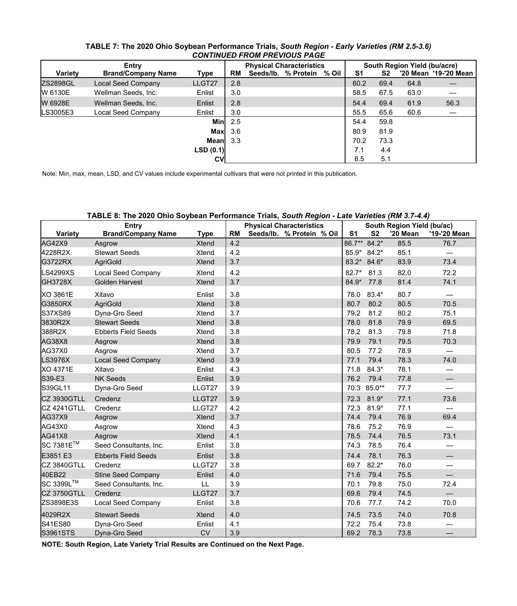|                | <b>CONTINUED FROM PREVIOUS PAGE</b> |             |     |                                 |                           |  |                |                              |      |                       |  |  |  |
|----------------|-------------------------------------|-------------|-----|---------------------------------|---------------------------|--|----------------|------------------------------|------|-----------------------|--|--|--|
| Entry          |                                     |             |     | <b>Physical Characteristics</b> |                           |  |                | South Region Yield (bu/acre) |      |                       |  |  |  |
| <b>Variety</b> | <b>Brand/Company Name</b>           | <b>Type</b> | RM  |                                 | Seeds/lb. % Protein % Oil |  | S <sub>1</sub> | S <sub>2</sub>               |      | '20 Mean '19-'20 Mean |  |  |  |
| ZS2898GL       | <b>Local Seed Company</b>           | LLGT27      | 2.8 |                                 |                           |  | 60.2           | 69.4                         | 64.8 |                       |  |  |  |
| W 6130E        | Wellman Seeds, Inc.                 | Enlist      | 3.0 |                                 |                           |  | 58.5           | 67.5                         | 63.0 |                       |  |  |  |
| W 6928E        | Wellman Seeds, Inc.                 | Enlist      | 2.8 |                                 |                           |  | 54.4           | 69.4                         | 61.9 | 56.3                  |  |  |  |
| LS3005E3       | <b>Local Seed Company</b>           | Enlist      | 3.0 |                                 |                           |  | 55.5           | 65.6                         | 60.6 |                       |  |  |  |
|                |                                     | <b>Min</b>  | 2.5 |                                 |                           |  | 54.4           | 59.8                         |      |                       |  |  |  |
|                |                                     | <b>Max</b>  | 3.6 |                                 |                           |  | 80.9           | 81.9                         |      |                       |  |  |  |
|                |                                     | <b>Mean</b> | 3.3 |                                 |                           |  | 70.2           | 73.3                         |      |                       |  |  |  |
|                |                                     | LSD(0.1)    |     |                                 |                           |  | 7.1            | 4.4                          |      |                       |  |  |  |
|                |                                     | <b>CV</b>   |     |                                 |                           |  | 8.5            | 5.1                          |      |                       |  |  |  |

## **TABLE 7: The 2020 Ohio Soybean Performance Trials,** *South Region - Early Varieties (RM 2.5-3.6) CONTINUED FROM PREVIOUS PAGE*

Note: Min, max, mean, LSD, and CV values include experimental cultivars that were not printed in this publication.

## **TABLE 8: The 2020 Ohio Soybean Performance Trials,** *South Region - Late Varieties (RM 3.7-4.4)*

|                    | <b>Entry</b>               |              |           | <b>Physical Characteristics</b> |                |             | South Region Yield (bu/ac) |                          |
|--------------------|----------------------------|--------------|-----------|---------------------------------|----------------|-------------|----------------------------|--------------------------|
| <b>Variety</b>     | <b>Brand/Company Name</b>  | <b>Type</b>  | <b>RM</b> | Seeds/lb. % Protein % Oil       | S <sub>1</sub> | <b>S2</b>   | '20 Mean                   | '19-'20 Mean             |
| <b>AG42X9</b>      | Asgrow                     | <b>Xtend</b> | 4.2       |                                 | 86.7**         | $84.2*$     | 85.5                       | 76.7                     |
| 4228R2X            | <b>Stewart Seeds</b>       | <b>Xtend</b> | 4.2       |                                 | 85.9*          | $84.2*$     | 85.1                       |                          |
| G3722RX            | <b>AgriGold</b>            | <b>Xtend</b> | 3.7       |                                 |                | 83.2* 84.6* | 83.9                       | 73.4                     |
| <b>LS4299XS</b>    | <b>Local Seed Company</b>  | <b>Xtend</b> | 4.2       |                                 | $82.7*$        | 81.3        | 82.0                       | 72.2                     |
| <b>GH3728X</b>     | <b>Golden Harvest</b>      | <b>Xtend</b> | 3.7       |                                 | 84.9*          | 77.8        | 81.4                       | 74.1                     |
| <b>XO 3861E</b>    | Xitavo                     | Enlist       | 3.8       |                                 | 78.0           | 83.4*       | 80.7                       |                          |
| G3850RX            | <b>AgriGold</b>            | <b>Xtend</b> | 3.8       |                                 | 80.7           | 80.2        | 80.5                       | 70.5                     |
| S37XS89            | Dyna-Gro Seed              | <b>Xtend</b> | 3.7       |                                 | 79.2           | 81.2        | 80.2                       | 75.1                     |
| 3830R2X            | <b>Stewart Seeds</b>       | <b>Xtend</b> | 3.8       |                                 | 78.0           | 81.8        | 79.9                       | 69.5                     |
| 388R2X             | <b>Ebberts Field Seeds</b> | <b>Xtend</b> | 3.8       |                                 | 78.2           | 81.3        | 79.8                       | 71.8                     |
| <b>AG38X8</b>      | Asgrow                     | <b>Xtend</b> | 3.8       |                                 | 79.9           | 79.1        | 79.5                       | 70.3                     |
| AG37X0             | Asgrow                     | <b>Xtend</b> | 3.7       |                                 | 80.5           | 77.2        | 78.9                       |                          |
| <b>LS3976X</b>     | <b>Local Seed Company</b>  | <b>Xtend</b> | 3.9       |                                 | 77.1           | 79.4        | 78.3                       | 74.0                     |
| <b>XO 4371E</b>    | Xitavo                     | Enlist       | 4.3       |                                 | 71.8           | $84.3*$     | 78.1                       |                          |
| S39-E3             | <b>NK Seeds</b>            | Enlist       | 3.9       |                                 | 76.2           | 79.4        | 77.8                       |                          |
| S39GL11            | Dyna-Gro Seed              | LLGT27       | 3.9       |                                 | 70.3           | 85.0**      | 77.7                       | $\overline{\phantom{0}}$ |
| <b>CZ 3930GTLL</b> | Credenz                    | LLGT27       | 3.9       |                                 | 72.3           | 81.9*       | 77.1                       | 73.6                     |
| CZ 4241GTLL        | Credenz                    | LLGT27       | 4.2       |                                 | 72.3           | $81.9*$     | 77.1                       |                          |
| AG37X9             | Asgrow                     | <b>Xtend</b> | 3.7       |                                 | 74.4           | 79.4        | 76.9                       | 69.4                     |
| AG43X0             | Asgrow                     | <b>Xtend</b> | 4.3       |                                 | 78.6           | 75.2        | 76.9                       |                          |
| <b>AG41X8</b>      | Asgrow                     | <b>Xtend</b> | 4.1       |                                 | 78.5           | 74.4        | 76.5                       | 73.1                     |
| SC 7381E™          | Seed Consultants, Inc.     | Enlist       | 3.8       |                                 | 74.3           | 78.5        | 76.4                       |                          |
| E3851 E3           | <b>Ebberts Field Seeds</b> | Enlist       | 3.8       |                                 | 74.4           | 78.1        | 76.3                       |                          |
| CZ 3840GTLL        | Credenz                    | LLGT27       | 3.8       |                                 | 69.7           | $82.2*$     | 76.0                       |                          |
| 40EB22             | <b>Stine Seed Company</b>  | Enlist       | 4.0       |                                 | 71.6           | 79.4        | 75.5                       |                          |
| SC 3399L™          | Seed Consultants, Inc.     | LL           | 3.9       |                                 | 70.1           | 79.8        | 75.0                       | 72.4                     |
| CZ 3750GTLL        | Credenz                    | LLGT27       | 3.7       |                                 | 69.6           | 79.4        | 74.5                       |                          |
| ZS3898E3S          | <b>Local Seed Company</b>  | Enlist       | 3.8       |                                 | 70.6           | 77.7        | 74.2                       | 70.0                     |
| 4029R2X            | <b>Stewart Seeds</b>       | <b>Xtend</b> | 4.0       |                                 | 74.5           | 73.5        | 74.0                       | 70.8                     |
| S41ES80            | Dyna-Gro Seed              | Enlist       | 4.1       |                                 | 72.2           | 75.4        | 73.8                       | —                        |
| S3961STS           | Dyna-Gro Seed              | <b>CV</b>    | 3.9       |                                 | 69.2           | 78.3        | 73.8                       |                          |

**NOTE: South Region, Late Variety Trial Results are Continued on the Next Page.**